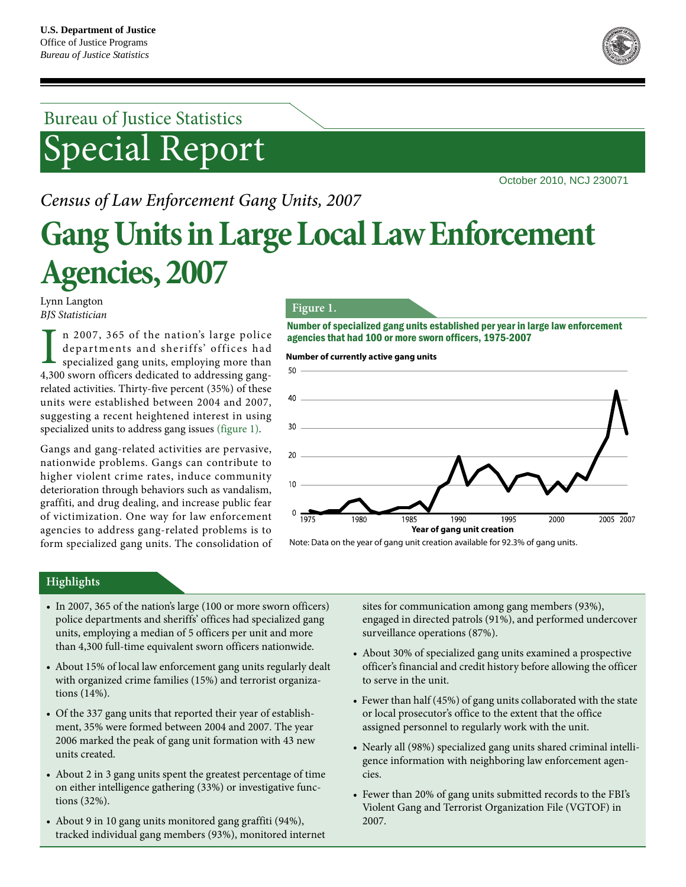

# Bureau of Justice Statistics Special Report

October 2010, NCJ 230071

## *Census of Law Enforcement Gang Units, 2007*

# **Gang Units in Large Local Law Enforcement Agencies, 2007**

Lynn Langton *BJS Statistician*

n 2007, 365 of the nation's large police departments and sheriffs' offices had specialized gang units, employing more than 4,300 sworn officers dedicated to addressing gangrelated activities. Thirty-five percent (35%) of these units were established between 2004 and 2007, suggesting a recent heightened interest in using specialized units to address gang issues (figure 1).

Gangs and gang-related activities are pervasive, nationwide problems. Gangs can contribute to higher violent crime rates, induce community deterioration through behaviors such as vandalism, graffiti, and drug dealing, and increase public fear of victimization. One way for law enforcement agencies to address gang-related problems is to form specialized gang units. The consolidation of

#### **Figure 1.**

Number of specialized gang units established per year in large law enforcement agencies that had 100 or more sworn officers, 1975-2007<br>Number of currently active gang units<br>50

**Number of currently active gang units**



Note: Data on the year of gang unit creation available for 92.3% of gang units.

## **Highlights**

- In 2007, 365 of the nation's large (100 or more sworn officers) police departments and sheriffs' offices had specialized gang units, employing a median of 5 officers per unit and more than 4,300 full-time equivalent sworn officers nationwide.
- About 15% of local law enforcement gang units regularly dealt with organized crime families (15%) and terrorist organizations (14%).
- Of the 337 gang units that reported their year of establishment, 35% were formed between 2004 and 2007. The year 2006 marked the peak of gang unit formation with 43 new units created.
- About 2 in 3 gang units spent the greatest percentage of time on either intelligence gathering (33%) or investigative functions (32%).
- About 9 in 10 gang units monitored gang graffiti (94%), tracked individual gang members (93%), monitored internet

sites for communication among gang members (93%), engaged in directed patrols (91%), and performed undercover surveillance operations (87%).

- About 30% of specialized gang units examined a prospective officer's financial and credit history before allowing the officer to serve in the unit.
- Fewer than half (45%) of gang units collaborated with the state or local prosecutor's office to the extent that the office assigned personnel to regularly work with the unit.
- Nearly all (98%) specialized gang units shared criminal intelligence information with neighboring law enforcement agencies.
- Fewer than 20% of gang units submitted records to the FBI's Violent Gang and Terrorist Organization File (VGTOF) in 2007.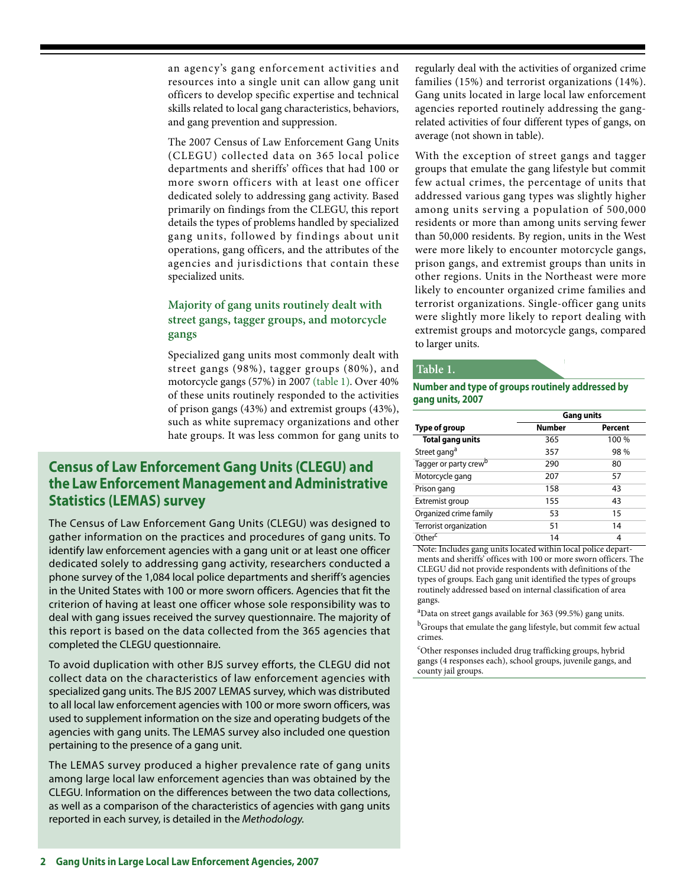an agency's gang enforcement activities and resources into a single unit can allow gang unit officers to develop specific expertise and technical skills related to local gang characteristics, behaviors, and gang prevention and suppression.

The 2007 Census of Law Enforcement Gang Units (CLEGU) collected data on 365 local police departments and sheriffs' offices that had 100 or more sworn officers with at least one officer dedicated solely to addressing gang activity. Based primarily on findings from the CLEGU, this report details the types of problems handled by specialized gang units, followed by findings about unit operations, gang officers, and the attributes of the agencies and jurisdictions that contain these specialized units.

## **Majority of gang units routinely dealt with street gangs, tagger groups, and motorcycle gangs**

Specialized gang units most commonly dealt with street gangs (98%), tagger groups (80%), and motorcycle gangs (57%) in 2007 (table 1). Over 40% of these units routinely responded to the activities of prison gangs (43%) and extremist groups (43%), such as white supremacy organizations and other hate groups. It was less common for gang units to

## **Census of Law Enforcement Gang Units (CLEGU) and the Law Enforcement Management and Administrative Statistics (LEMAS) survey**

The Census of Law Enforcement Gang Units (CLEGU) was designed to gather information on the practices and procedures of gang units. To identify law enforcement agencies with a gang unit or at least one officer dedicated solely to addressing gang activity, researchers conducted a phone survey of the 1,084 local police departments and sheriff's agencies in the United States with 100 or more sworn officers. Agencies that fit the criterion of having at least one officer whose sole responsibility was to deal with gang issues received the survey questionnaire. The majority of this report is based on the data collected from the 365 agencies that completed the CLEGU questionnaire.

To avoid duplication with other BJS survey efforts, the CLEGU did not collect data on the characteristics of law enforcement agencies with specialized gang units. The BJS 2007 LEMAS survey, which was distributed to all local law enforcement agencies with 100 or more sworn officers, was used to supplement information on the size and operating budgets of the agencies with gang units. The LEMAS survey also included one question pertaining to the presence of a gang unit.

The LEMAS survey produced a higher prevalence rate of gang units among large local law enforcement agencies than was obtained by the CLEGU. Information on the differences between the two data collections, as well as a comparison of the characteristics of agencies with gang units reported in each survey, is detailed in the Methodology.

regularly deal with the activities of organized crime families (15%) and terrorist organizations (14%). Gang units located in large local law enforcement agencies reported routinely addressing the gangrelated activities of four different types of gangs, on average (not shown in table).

With the exception of street gangs and tagger groups that emulate the gang lifestyle but commit few actual crimes, the percentage of units that addressed various gang types was slightly higher among units serving a population of 500,000 residents or more than among units serving fewer than 50,000 residents. By region, units in the West were more likely to encounter motorcycle gangs, prison gangs, and extremist groups than units in other regions. Units in the Northeast were more likely to encounter organized crime families and terrorist organizations. Single-officer gang units were slightly more likely to report dealing with extremist groups and motorcycle gangs, compared to larger units.

#### **Table 1.**

#### **Number and type of groups routinely addressed by gang units, 2007**

|                                   | <b>Gang units</b> |         |  |  |  |  |
|-----------------------------------|-------------------|---------|--|--|--|--|
| Type of group                     | Number            | Percent |  |  |  |  |
| <b>Total gang units</b>           | 365               | 100 %   |  |  |  |  |
| Street gang <sup>a</sup>          | 357               | 98 %    |  |  |  |  |
| Tagger or party crew <sup>b</sup> | 290               | 80      |  |  |  |  |
| Motorcycle gang                   | 207               | 57      |  |  |  |  |
| Prison gang                       | 158               | 43      |  |  |  |  |
| Extremist group                   | 155               | 43      |  |  |  |  |
| Organized crime family            | 53                | 15      |  |  |  |  |
| Terrorist organization            | 51                | 14      |  |  |  |  |
| Other <sup>c</sup>                | 14                | 4       |  |  |  |  |

Note: Includes gang units located within local police departments and sheriffs' offices with 100 or more sworn officers. The CLEGU did not provide respondents with definitions of the types of groups. Each gang unit identified the types of groups routinely addressed based on internal classification of area gangs.

<sup>a</sup>Data on street gangs available for 363 (99.5%) gang units.

<sup>b</sup>Groups that emulate the gang lifestyle, but commit few actual crimes.

c Other responses included drug trafficking groups, hybrid gangs (4 responses each), school groups, juvenile gangs, and county jail groups.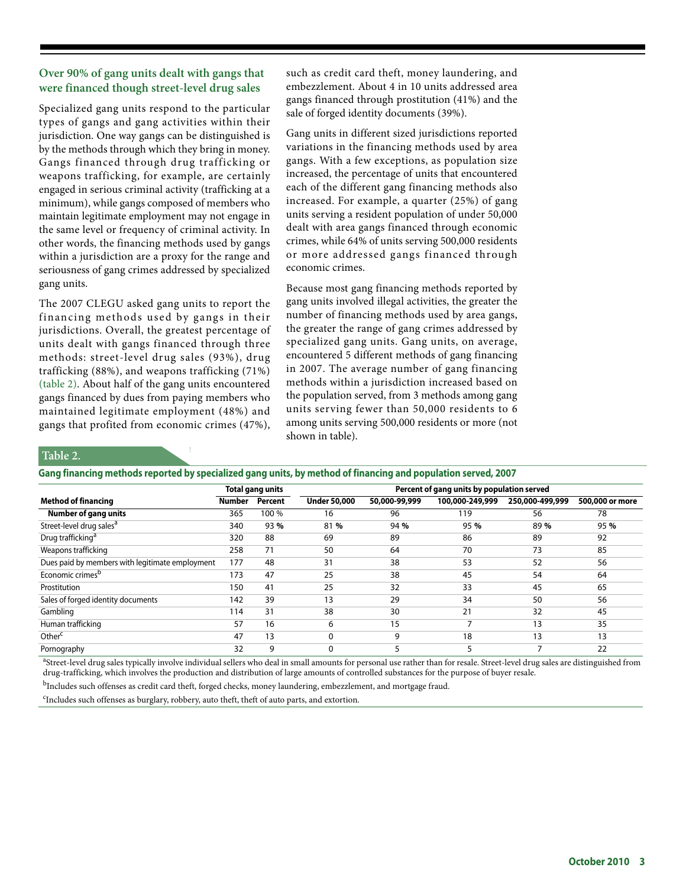## **Over 90% of gang units dealt with gangs that were financed though street-level drug sales**

Specialized gang units respond to the particular types of gangs and gang activities within their jurisdiction. One way gangs can be distinguished is by the methods through which they bring in money. Gangs financed through drug trafficking or weapons trafficking, for example, are certainly engaged in serious criminal activity (trafficking at a minimum), while gangs composed of members who maintain legitimate employment may not engage in the same level or frequency of criminal activity. In other words, the financing methods used by gangs within a jurisdiction are a proxy for the range and seriousness of gang crimes addressed by specialized gang units.

The 2007 CLEGU asked gang units to report the financing methods used by gangs in their jurisdictions. Overall, the greatest percentage of units dealt with gangs financed through three methods: street-level drug sales (93%), drug trafficking (88%), and weapons trafficking (71%) (table 2). About half of the gang units encountered gangs financed by dues from paying members who maintained legitimate employment (48%) and gangs that profited from economic crimes (47%),

such as credit card theft, money laundering, and embezzlement. About 4 in 10 units addressed area gangs financed through prostitution (41%) and the sale of forged identity documents (39%).

Gang units in different sized jurisdictions reported variations in the financing methods used by area gangs. With a few exceptions, as population size increased, the percentage of units that encountered each of the different gang financing methods also increased. For example, a quarter (25%) of gang units serving a resident population of under 50,000 dealt with area gangs financed through economic crimes, while 64% of units serving 500,000 residents or more addressed gangs financed through economic crimes.

Because most gang financing methods reported by gang units involved illegal activities, the greater the number of financing methods used by area gangs, the greater the range of gang crimes addressed by specialized gang units. Gang units, on average, encountered 5 different methods of gang financing in 2007. The average number of gang financing methods within a jurisdiction increased based on the population served, from 3 methods among gang units serving fewer than 50,000 residents to 6 among units serving 500,000 residents or more (not shown in table).

## **Table 2.**

#### **Gang financing methods reported by specialized gang units, by method of financing and population served, 2007**

|                                                 |               | Total gang units | Percent of gang units by population served |               |                 |                 |                 |  |  |
|-------------------------------------------------|---------------|------------------|--------------------------------------------|---------------|-----------------|-----------------|-----------------|--|--|
| <b>Method of financing</b>                      | <b>Number</b> | Percent          | <b>Under 50,000</b>                        | 50,000-99,999 | 100,000-249,999 | 250,000-499,999 | 500,000 or more |  |  |
| <b>Number of gang units</b>                     | 365           | 100 %            | 16                                         | 96            | 119             | 56              | 78              |  |  |
| Street-level drug sales <sup>a</sup>            | 340           | 93%              | 81%                                        | 94 %          | 95 %            | 89%             | 95 %            |  |  |
| Drug trafficking <sup>a</sup>                   | 320           | 88               | 69                                         | 89            | 86              | 89              | 92              |  |  |
| Weapons trafficking                             | 258           | 71               | 50                                         | 64            | 70              | 73              | 85              |  |  |
| Dues paid by members with legitimate employment | 177           | 48               | 31                                         | 38            | 53              | 52              | 56              |  |  |
| Economic crimes <sup>b</sup>                    | 173           | 47               | 25                                         | 38            | 45              | 54              | 64              |  |  |
| Prostitution                                    | 150           | 41               | 25                                         | 32            | 33              | 45              | 65              |  |  |
| Sales of forged identity documents              | 142           | 39               | 13                                         | 29            | 34              | 50              | 56              |  |  |
| Gambling                                        | 114           | 31               | 38                                         | 30            | 21              | 32              | 45              |  |  |
| Human trafficking                               | 57            | 16               | 6                                          | 15            |                 | 13              | 35              |  |  |
| Other <sup>c</sup>                              | 47            | 13               | 0                                          | 9             | 18              | 13              | 13              |  |  |
| Pornography                                     | 32            | 9                | 0                                          |               | 5               | -               | 22              |  |  |

<sup>a</sup>Street-level drug sales typically involve individual sellers who deal in small amounts for personal use rather than for resale. Street-level drug sales are distinguished from drug-trafficking, which involves the production and distribution of large amounts of controlled substances for the purpose of buyer resale.

<sup>b</sup>Includes such offenses as credit card theft, forged checks, money laundering, embezzlement, and mortgage fraud.

c Includes such offenses as burglary, robbery, auto theft, theft of auto parts, and extortion.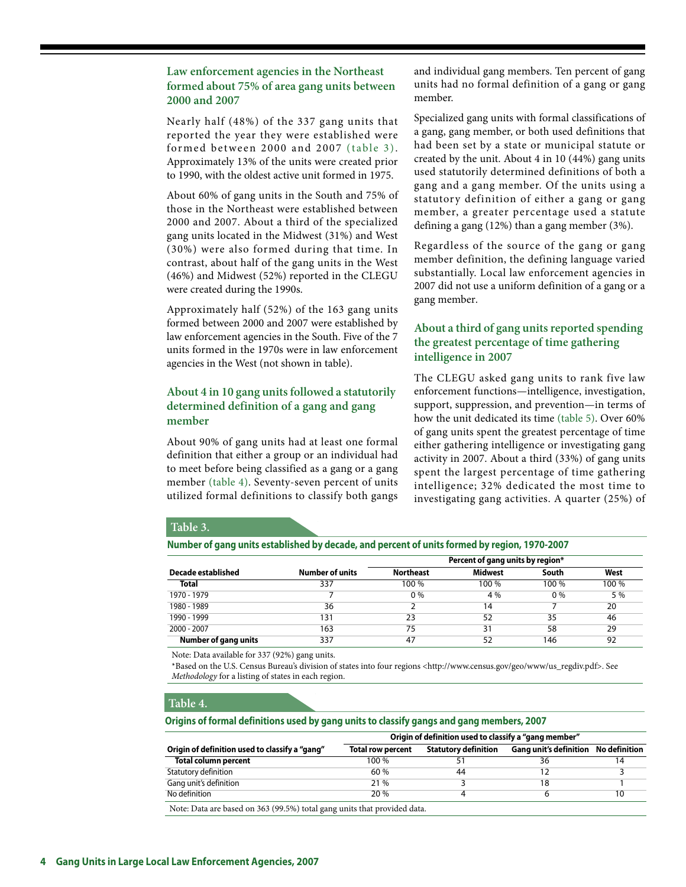**Law enforcement agencies in the Northeast formed about 75% of area gang units between 2000 and 2007**

Nearly half (48%) of the 337 gang units that reported the year they were established were formed between 2000 and 2007 (table 3). Approximately 13% of the units were created prior to 1990, with the oldest active unit formed in 1975.

About 60% of gang units in the South and 75% of those in the Northeast were established between 2000 and 2007. About a third of the specialized gang units located in the Midwest (31%) and West (30%) were also formed during that time. In contrast, about half of the gang units in the West (46%) and Midwest (52%) reported in the CLEGU were created during the 1990s.

Approximately half (52%) of the 163 gang units formed between 2000 and 2007 were established by law enforcement agencies in the South. Five of the 7 units formed in the 1970s were in law enforcement agencies in the West (not shown in table).

## **About 4 in 10 gang units followed a statutorily determined definition of a gang and gang member**

About 90% of gang units had at least one formal definition that either a group or an individual had to meet before being classified as a gang or a gang member (table 4). Seventy-seven percent of units utilized formal definitions to classify both gangs and individual gang members. Ten percent of gang units had no formal definition of a gang or gang member.

Specialized gang units with formal classifications of a gang, gang member, or both used definitions that had been set by a state or municipal statute or created by the unit. About 4 in 10 (44%) gang units used statutorily determined definitions of both a gang and a gang member. Of the units using a statutory definition of either a gang or gang member, a greater percentage used a statute defining a gang (12%) than a gang member (3%).

Regardless of the source of the gang or gang member definition, the defining language varied substantially. Local law enforcement agencies in 2007 did not use a uniform definition of a gang or a gang member.

## **About a third of gang units reported spending the greatest percentage of time gathering intelligence in 2007**

The CLEGU asked gang units to rank five law enforcement functions—intelligence, investigation, support, suppression, and prevention—in terms of how the unit dedicated its time (table 5). Over 60% of gang units spent the greatest percentage of time either gathering intelligence or investigating gang activity in 2007. About a third (33%) of gang units spent the largest percentage of time gathering intelligence; 32% dedicated the most time to investigating gang activities. A quarter (25%) of

#### **Table 3.**

| Number of gang units established by decade, and percent of units formed by region, 1970-2007 |  |
|----------------------------------------------------------------------------------------------|--|
|----------------------------------------------------------------------------------------------|--|

|                             |                        | Percent of gang units by region* |                |       |       |  |
|-----------------------------|------------------------|----------------------------------|----------------|-------|-------|--|
| Decade established          | <b>Number of units</b> | <b>Northeast</b>                 | <b>Midwest</b> | South | West  |  |
| <b>Total</b>                | 337                    | 100 %                            | 100 %          | 100 % | 100 % |  |
| 1970 - 1979                 |                        | $0\%$                            | 4 %            | $0\%$ | 5 %   |  |
| 1980 - 1989                 | 36                     |                                  | 14             |       | 20    |  |
| 1990 - 1999                 | 131                    | 23                               | 52             | 35    | 46    |  |
| $2000 - 2007$               | 163                    | 75                               | 31             | 58    | 29    |  |
| <b>Number of gang units</b> | 337                    | 47                               | 52             | 146   | 92    |  |

Note: Data available for 337 (92%) gang units.

\*Based on the U.S. Census Bureau's division of states into four regions <http://www.census.gov/geo/www/us\_regdiv.pdf>. See *Methodology* for a listing of states in each region.

#### **Table 4.**

**Origins of formal definitions used by gang units to classify gangs and gang members, 2007**

|                                                                           | Origin of definition used to classify a "gang member" |                             |                                             |    |  |  |  |  |
|---------------------------------------------------------------------------|-------------------------------------------------------|-----------------------------|---------------------------------------------|----|--|--|--|--|
| Origin of definition used to classify a "gang"                            | Total row percent                                     | <b>Statutory definition</b> | <b>Gang unit's definition</b> No definition |    |  |  |  |  |
| <b>Total column percent</b>                                               | 100 %                                                 |                             | 36                                          |    |  |  |  |  |
| Statutory definition                                                      | 60%                                                   | 44                          |                                             |    |  |  |  |  |
| Gang unit's definition                                                    | 21 %                                                  |                             | 18                                          |    |  |  |  |  |
| No definition                                                             | 20 %                                                  |                             |                                             | 10 |  |  |  |  |
| . Mata: Data ana haaad ay 262 (00 50) total aana quito that noovidad data |                                                       |                             |                                             |    |  |  |  |  |

) daa are based on 363 (99.5%) total gang units that provided data.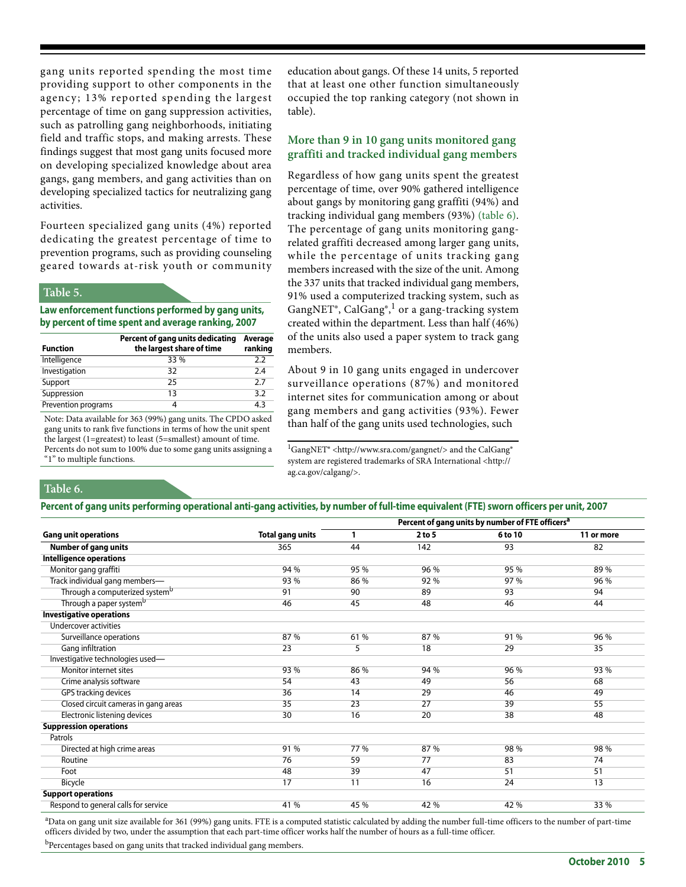gang units reported spending the most time providing support to other components in the agency; 13% reported spending the largest percentage of time on gang suppression activities, such as patrolling gang neighborhoods, initiating field and traffic stops, and making arrests. These findings suggest that most gang units focused more on developing specialized knowledge about area gangs, gang members, and gang activities than on developing specialized tactics for neutralizing gang activities.

Fourteen specialized gang units (4%) reported dedicating the greatest percentage of time to prevention programs, such as providing counseling geared towards at-risk youth or community

#### **Table 5.**

**Law enforcement functions performed by gang units, by percent of time spent and average ranking, 2007**

| <b>Function</b>     | Percent of gang units dedicating<br>the largest share of time | Average<br>ranking |
|---------------------|---------------------------------------------------------------|--------------------|
| Intelligence        | 33 %                                                          | 2.2                |
| Investigation       | 32                                                            | 2.4                |
| Support             | 25                                                            | 2.7                |
| Suppression         | 13                                                            | 3.2                |
| Prevention programs | 4                                                             | 4.3                |

Note: Data available for 363 (99%) gang units. The CPDO asked gang units to rank five functions in terms of how the unit spent the largest (1=greatest) to least (5=smallest) amount of time.

Percents do not sum to 100% due to some gang units assigning a "1" to multiple functions.

education about gangs. Of these 14 units, 5 reported that at least one other function simultaneously occupied the top ranking category (not shown in table).

## **More than 9 in 10 gang units monitored gang graffiti and tracked individual gang members**

Regardless of how gang units spent the greatest percentage of time, over 90% gathered intelligence about gangs by monitoring gang graffiti (94%) and tracking individual gang members (93%) (table 6). The percentage of gang units monitoring gangrelated graffiti decreased among larger gang units, while the percentage of units tracking gang members increased with the size of the unit. Among the 337 units that tracked individual gang members, 91% used a computerized tracking system, such as GangNET®, CalGang®,<sup>1</sup> or a gang-tracking system created within the department. Less than half (46%) of the units also used a paper system to track gang members.

About 9 in 10 gang units engaged in undercover surveillance operations (87%) and monitored internet sites for communication among or about gang members and gang activities (93%). Fewer than half of the gang units used technologies, such

<sup>1</sup>GangNET® <http://www.sra.com/gangnet/> and the CalGang® [system are registered trademarks of SRA International <http://](http://ag.ca.gov/calgang/) [ag.ca.gov/calgang/>.](http://ag.ca.gov/calgang/)

## **Table 6.**

|  |  |  |  |  | Percent of gang units performing operational anti-gang activities, by number of full-time equivalent (FTE) sworn officers per unit, 2007 |  |  |
|--|--|--|--|--|------------------------------------------------------------------------------------------------------------------------------------------|--|--|
|  |  |  |  |  |                                                                                                                                          |  |  |

|                                            |                         | Percent of gang units by number of FTE officers <sup>a</sup> |                 |         |            |  |
|--------------------------------------------|-------------------------|--------------------------------------------------------------|-----------------|---------|------------|--|
|                                            |                         |                                                              |                 |         |            |  |
| <b>Gang unit operations</b>                | <b>Total gang units</b> | 1                                                            | 2 to 5          | 6 to 10 | 11 or more |  |
| <b>Number of gang units</b>                | 365                     | 44                                                           | 142             | 93      | 82         |  |
| <b>Intelligence operations</b>             |                         |                                                              |                 |         |            |  |
| Monitor gang graffiti                      | 94 %                    | 95 %                                                         | 96 %            | 95 %    | 89%        |  |
| Track individual gang members-             | 93 %                    | 86 %                                                         | 92 %            | 97 %    | 96 %       |  |
| Through a computerized system <sup>b</sup> | 91                      | 90                                                           | 89              | 93      | 94         |  |
| Through a paper system <sup>b</sup>        | 46                      | 45                                                           | 48              | 46      | 44         |  |
| <b>Investigative operations</b>            |                         |                                                              |                 |         |            |  |
| <b>Undercover activities</b>               |                         |                                                              |                 |         |            |  |
| Surveillance operations                    | 87 %                    | 61%                                                          | 87 %            | 91 %    | 96 %       |  |
| Gang infiltration                          | $\overline{23}$         | 5                                                            | $\overline{18}$ | 29      | 35         |  |
| Investigative technologies used-           |                         |                                                              |                 |         |            |  |
| Monitor internet sites                     | 93 %                    | 86 %                                                         | 94 %            | 96 %    | 93 %       |  |
| Crime analysis software                    | 54                      | 43                                                           | 49              | 56      | 68         |  |
| GPS tracking devices                       | 36                      | 14                                                           | 29              | 46      | 49         |  |
| Closed circuit cameras in gang areas       | 35                      | 23                                                           | 27              | 39      | 55         |  |
| Electronic listening devices               | 30                      | 16                                                           | 20              | 38      | 48         |  |
| <b>Suppression operations</b>              |                         |                                                              |                 |         |            |  |
| Patrols                                    |                         |                                                              |                 |         |            |  |
| Directed at high crime areas               | 91 %                    | 77 %                                                         | 87 %            | 98 %    | 98 %       |  |
| Routine                                    | 76                      | 59                                                           | 77              | 83      | 74         |  |
| Foot                                       | 48                      | 39                                                           | 47              | 51      | 51         |  |
| Bicycle                                    | 17                      | 11                                                           | 16              | 24      | 13         |  |
| <b>Support operations</b>                  |                         |                                                              |                 |         |            |  |
| Respond to general calls for service       | 41 %                    | 45 %                                                         | 42 %            | 42 %    | 33 %       |  |

<sup>a</sup>Data on gang unit size available for 361 (99%) gang units. FTE is a computed statistic calculated by adding the number full-time officers to the number of part-time officers divided by two, under the assumption that each part-time officer works half the number of hours as a full-time officer.

<sup>b</sup>Percentages based on gang units that tracked individual gang members.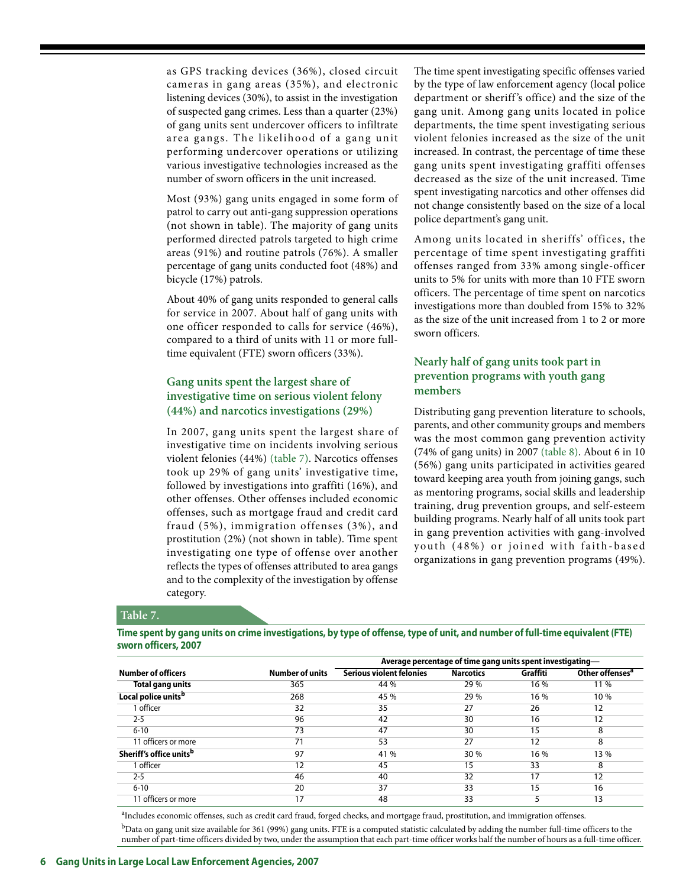as GPS tracking devices (36%), closed circuit cameras in gang areas (35%), and electronic listening devices (30%), to assist in the investigation of suspected gang crimes. Less than a quarter (23%) of gang units sent undercover officers to infiltrate area gangs. The likelihood of a gang unit performing undercover operations or utilizing various investigative technologies increased as the number of sworn officers in the unit increased.

Most (93%) gang units engaged in some form of patrol to carry out anti-gang suppression operations (not shown in table). The majority of gang units performed directed patrols targeted to high crime areas (91%) and routine patrols (76%). A smaller percentage of gang units conducted foot (48%) and bicycle (17%) patrols.

About 40% of gang units responded to general calls for service in 2007. About half of gang units with one officer responded to calls for service (46%), compared to a third of units with 11 or more fulltime equivalent (FTE) sworn officers (33%).

## **Gang units spent the largest share of investigative time on serious violent felony (44%) and narcotics investigations (29%)**

In 2007, gang units spent the largest share of investigative time on incidents involving serious violent felonies (44%) (table 7). Narcotics offenses took up 29% of gang units' investigative time, followed by investigations into graffiti (16%), and other offenses. Other offenses included economic offenses, such as mortgage fraud and credit card fraud (5%), immigration offenses (3%), and prostitution (2%) (not shown in table). Time spent investigating one type of offense over another reflects the types of offenses attributed to area gangs and to the complexity of the investigation by offense category.

The time spent investigating specific offenses varied by the type of law enforcement agency (local police department or sheriff 's office) and the size of the gang unit. Among gang units located in police departments, the time spent investigating serious violent felonies increased as the size of the unit increased. In contrast, the percentage of time these gang units spent investigating graffiti offenses decreased as the size of the unit increased. Time spent investigating narcotics and other offenses did not change consistently based on the size of a local police department's gang unit.

Among units located in sheriffs' offices, the percentage of time spent investigating graffiti offenses ranged from 33% among single-officer units to 5% for units with more than 10 FTE sworn officers. The percentage of time spent on narcotics investigations more than doubled from 15% to 32% as the size of the unit increased from 1 to 2 or more sworn officers.

## **Nearly half of gang units took part in prevention programs with youth gang members**

Distributing gang prevention literature to schools, parents, and other community groups and members was the most common gang prevention activity (74% of gang units) in 2007 (table 8). About 6 in 10 (56%) gang units participated in activities geared toward keeping area youth from joining gangs, such as mentoring programs, social skills and leadership training, drug prevention groups, and self-esteem building programs. Nearly half of all units took part in gang prevention activities with gang-involved youth (48%) or joined with faith-based organizations in gang prevention programs (49%).

#### **Table 7.**

**Time spent by gang units on crime investigations, by type of offense, type of unit, and number of full-time equivalent (FTE) sworn officers, 2007**

|                                     | Average percentage of time gang units spent investigating— |                                 |                  |          |                             |
|-------------------------------------|------------------------------------------------------------|---------------------------------|------------------|----------|-----------------------------|
| <b>Number of officers</b>           | <b>Number of units</b>                                     | <b>Serious violent felonies</b> | <b>Narcotics</b> | Graffiti | Other offenses <sup>a</sup> |
| Total gang units                    | 365                                                        | 44 %                            | 29 %             | 16 %     | 11 %                        |
| Local police units <sup>b</sup>     | 268                                                        | 45 %                            | 29 %             | 16 %     | 10 %                        |
| 1 officer                           | 32                                                         | 35                              | 27               | 26       | 12                          |
| $2 - 5$                             | 96                                                         | 42                              | 30               | 16       | 12                          |
| $6 - 10$                            | 73                                                         | 47                              | 30               | 15       | 8                           |
| 11 officers or more                 | 71                                                         | 53                              | 27               | 12       | 8                           |
| Sheriff's office units <sup>b</sup> | 97                                                         | 41 %                            | 30 %             | 16 %     | 13 %                        |
| 1 officer                           | 12                                                         | 45                              | 15               | 33       | 8                           |
| $2 - 5$                             | 46                                                         | 40                              | 32               | 17       | 12                          |
| $6 - 10$                            | 20                                                         | 37                              | 33               | 15       | 16                          |
| 11 officers or more                 | 17                                                         | 48                              | 33               | 5        | 13                          |

<sup>a</sup>Includes economic offenses, such as credit card fraud, forged checks, and mortgage fraud, prostitution, and immigration offenses.

 $^{\rm b}$ Data on gang unit size available for 361 (99%) gang units. FTE is a computed statistic calculated by adding the number full-time officers to the number of part-time officers divided by two, under the assumption that each part-time officer works half the number of hours as a full-time officer.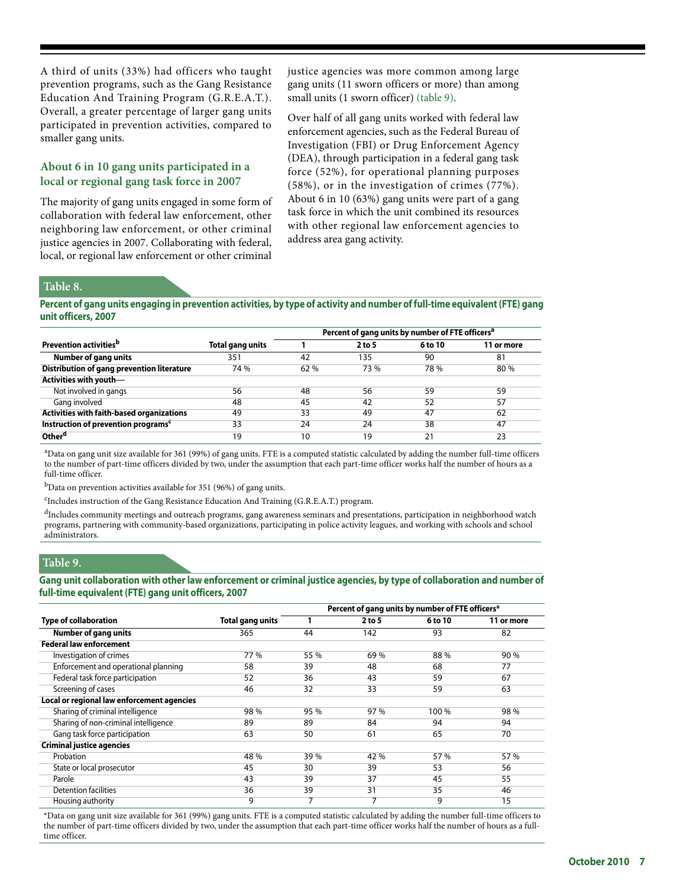A third of units (33%) had officers who taught prevention programs, such as the Gang Resistance Education And Training Program (G.R.E.A.T.). Overall, a greater percentage of larger gang units participated in prevention activities, compared to smaller gang units.

## **About 6 in 10 gang units participated in a local or regional gang task force in 2007**

The majority of gang units engaged in some form of collaboration with federal law enforcement, other neighboring law enforcement, or other criminal justice agencies in 2007. Collaborating with federal, local, or regional law enforcement or other criminal justice agencies was more common among large gang units (11 sworn officers or more) than among small units (1 sworn officer) (table 9).

Over half of all gang units worked with federal law enforcement agencies, such as the Federal Bureau of Investigation (FBI) or Drug Enforcement Agency (DEA), through participation in a federal gang task force (52%), for operational planning purposes (58%), or in the investigation of crimes (77%). About 6 in 10 (63%) gang units were part of a gang task force in which the unit combined its resources with other regional law enforcement agencies to address area gang activity.

#### **Table 8.**

**Percent of gang units engaging in prevention activities, by type of activity and number of full-time equivalent (FTE) gang unit officers, 2007**

|                                                 |                  |      | Percent of gang units by number of FTE officers <sup>a</sup> |         |            |
|-------------------------------------------------|------------------|------|--------------------------------------------------------------|---------|------------|
| Prevention activities <sup>b</sup>              | Total gang units |      | $2$ to 5                                                     | 6 to 10 | 11 or more |
| <b>Number of gang units</b>                     | 351              | 42   | 135                                                          | 90      | 81         |
| Distribution of gang prevention literature      | 74 %             | 62 % | 73 %                                                         | 78 %    | 80 %       |
| Activities with youth-                          |                  |      |                                                              |         |            |
| Not involved in gangs                           | 56               | 48   | 56                                                           | 59      | 59         |
| Gang involved                                   | 48               | 45   | 42                                                           | 52      | 57         |
| Activities with faith-based organizations       | 49               | 33   | 49                                                           | 47      | 62         |
| Instruction of prevention programs <sup>c</sup> | 33               | 24   | 24                                                           | 38      | 47         |
| Other <sup>d</sup>                              | 19               | 10   | 19                                                           | 21      | 23         |

a Data on gang unit size available for 361 (99%) of gang units. FTE is a computed statistic calculated by adding the number full-time officers to the number of part-time officers divided by two, under the assumption that each part-time officer works half the number of hours as a full-time officer.

 $<sup>b</sup>$ Data on prevention activities available for 351 (96%) of gang units.</sup>

<sup>c</sup>Includes instruction of the Gang Resistance Education And Training (G.R.E.A.T.) program.

<sup>d</sup>Includes community meetings and outreach programs, gang awareness seminars and presentations, participation in neighborhood watch programs, partnering with community-based organizations, participating in police activity leagues, and working with schools and school administrators.

## **Table 9.**

**Gang unit collaboration with other law enforcement or criminal justice agencies, by type of collaboration and number of full-time equivalent (FTE) gang unit officers, 2007**

|                                            |                         | Percent of gang units by number of FTE officers* |        |         |            |  |  |
|--------------------------------------------|-------------------------|--------------------------------------------------|--------|---------|------------|--|--|
| <b>Type of collaboration</b>               | <b>Total gang units</b> |                                                  | 2 to 5 | 6 to 10 | 11 or more |  |  |
| <b>Number of gang units</b>                | 365                     | 44                                               | 142    | 93      | 82         |  |  |
| <b>Federal law enforcement</b>             |                         |                                                  |        |         |            |  |  |
| Investigation of crimes                    | 77 %                    | 55 %                                             | 69 %   | 88 %    | 90 %       |  |  |
| Enforcement and operational planning       | 58                      | 39                                               | 48     | 68      | 77         |  |  |
| Federal task force participation           | 52                      | 36                                               | 43     | 59      | 67         |  |  |
| Screening of cases                         | 46                      | $\overline{32}$                                  | 33     | 59      | 63         |  |  |
| Local or regional law enforcement agencies |                         |                                                  |        |         |            |  |  |
| Sharing of criminal intelligence           | 98 %                    | 95 %                                             | 97 %   | 100 %   | 98 %       |  |  |
| Sharing of non-criminal intelligence       | 89                      | 89                                               | 84     | 94      | 94         |  |  |
| Gang task force participation              | 63                      | 50                                               | 61     | 65      | 70         |  |  |
| <b>Criminal justice agencies</b>           |                         |                                                  |        |         |            |  |  |
| Probation                                  | 48 %                    | 39 %                                             | 42 %   | 57 %    | 57 %       |  |  |
| State or local prosecutor                  | 45                      | 30                                               | 39     | 53      | 56         |  |  |
| Parole                                     | 43                      | 39                                               | 37     | 45      | 55         |  |  |
| <b>Detention facilities</b>                | 36                      | 39                                               | 31     | 35      | 46         |  |  |
| Housing authority                          | 9                       | 7                                                | 7      | 9       | 15         |  |  |

\*Data on gang unit size available for 361 (99%) gang units. FTE is a computed statistic calculated by adding the number full-time officers to the number of part-time officers divided by two, under the assumption that each part-time officer works half the number of hours as a fulltime officer.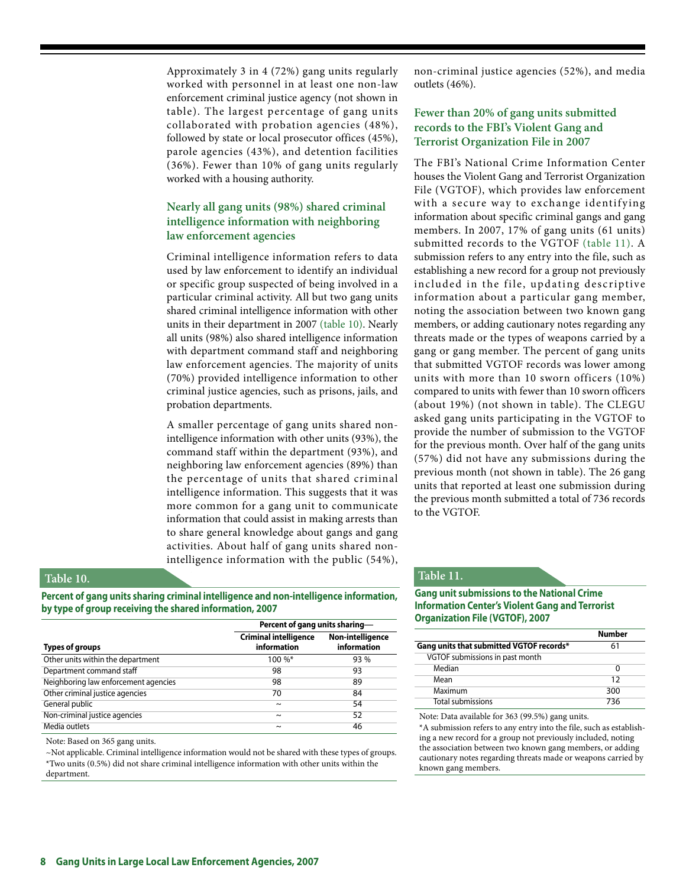Approximately 3 in 4 (72%) gang units regularly worked with personnel in at least one non-law enforcement criminal justice agency (not shown in table). The largest percentage of gang units collaborated with probation agencies (48%), followed by state or local prosecutor offices (45%), parole agencies (43%), and detention facilities (36%). Fewer than 10% of gang units regularly worked with a housing authority.

## **Nearly all gang units (98%) shared criminal intelligence information with neighboring law enforcement agencies**

Criminal intelligence information refers to data used by law enforcement to identify an individual or specific group suspected of being involved in a particular criminal activity. All but two gang units shared criminal intelligence information with other units in their department in 2007 (table 10). Nearly all units (98%) also shared intelligence information with department command staff and neighboring law enforcement agencies. The majority of units (70%) provided intelligence information to other criminal justice agencies, such as prisons, jails, and probation departments.

A smaller percentage of gang units shared nonintelligence information with other units (93%), the command staff within the department (93%), and neighboring law enforcement agencies (89%) than the percentage of units that shared criminal intelligence information. This suggests that it was more common for a gang unit to communicate information that could assist in making arrests than to share general knowledge about gangs and gang activities. About half of gang units shared nonintelligence information with the public (54%),

## **Table 10.**

**Percent of gang units sharing criminal intelligence and non-intelligence information, by type of group receiving the shared information, 2007**

|                                      | Percent of gang units sharing-              |                                        |  |  |  |
|--------------------------------------|---------------------------------------------|----------------------------------------|--|--|--|
| <b>Types of groups</b>               | <b>Criminal intelligence</b><br>information | <b>Non-intelligence</b><br>information |  |  |  |
| Other units within the department    | $100\%$ *                                   | 93 %                                   |  |  |  |
| Department command staff             | 98                                          | 93                                     |  |  |  |
| Neighboring law enforcement agencies | 98                                          | 89                                     |  |  |  |
| Other criminal justice agencies      | 70                                          | 84                                     |  |  |  |
| General public                       | $\tilde{}$                                  | 54                                     |  |  |  |
| Non-criminal justice agencies        | $\tilde{}$                                  | 52                                     |  |  |  |
| Media outlets                        | $\sim$                                      | 46                                     |  |  |  |

Note: Based on 365 gang units.

~Not applicable. Criminal intelligence information would not be shared with these types of groups. \*Two units (0.5%) did not share criminal intelligence information with other units within the department.

non-criminal justice agencies (52%), and media outlets (46%).

## **Fewer than 20% of gang units submitted records to the FBI's Violent Gang and Terrorist Organization File in 2007**

The FBI's National Crime Information Center houses the Violent Gang and Terrorist Organization File (VGTOF), which provides law enforcement with a secure way to exchange identifying information about specific criminal gangs and gang members. In 2007, 17% of gang units (61 units) submitted records to the VGTOF (table 11). A submission refers to any entry into the file, such as establishing a new record for a group not previously included in the file, updating descriptive information about a particular gang member, noting the association between two known gang members, or adding cautionary notes regarding any threats made or the types of weapons carried by a gang or gang member. The percent of gang units that submitted VGTOF records was lower among units with more than 10 sworn officers (10%) compared to units with fewer than 10 sworn officers (about 19%) (not shown in table). The CLEGU asked gang units participating in the VGTOF to provide the number of submission to the VGTOF for the previous month. Over half of the gang units (57%) did not have any submissions during the previous month (not shown in table). The 26 gang units that reported at least one submission during the previous month submitted a total of 736 records to the VGTOF.

#### **Table 11.**

**Gang unit submissions to the National Crime Information Center's Violent Gang and Terrorist Organization File (VGTOF), 2007**

|                                          | Number |
|------------------------------------------|--------|
| Gang units that submitted VGTOF records* | 61     |
| VGTOF submissions in past month          |        |
| Median                                   | O      |
| Mean                                     | 12     |
| Maximum                                  | 300    |
| <b>Total submissions</b>                 | 736    |

Note: Data available for 363 (99.5%) gang units.

\*A submission refers to any entry into the file, such as establishing a new record for a group not previously included, noting the association between two known gang members, or adding cautionary notes regarding threats made or weapons carried by known gang members.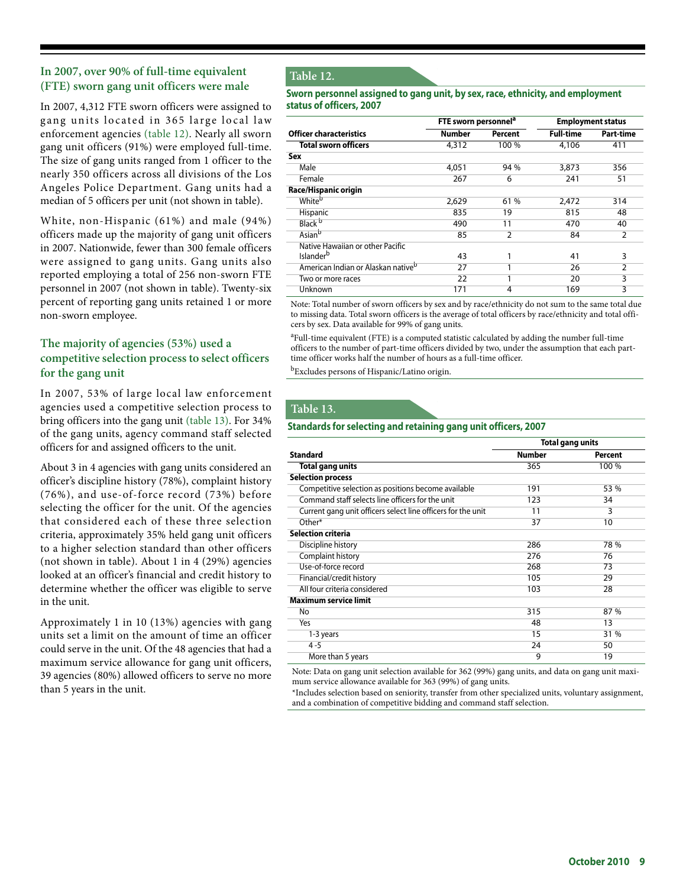## **In 2007, over 90% of full-time equivalent (FTE) sworn gang unit officers were male**

In 2007, 4,312 FTE sworn officers were assigned to gang units located in 365 large local law enforcement agencies (table 12). Nearly all sworn gang unit officers (91%) were employed full-time. The size of gang units ranged from 1 officer to the nearly 350 officers across all divisions of the Los Angeles Police Department. Gang units had a median of 5 officers per unit (not shown in table).

White, non-Hispanic (61%) and male (94%) officers made up the majority of gang unit officers in 2007. Nationwide, fewer than 300 female officers were assigned to gang units. Gang units also reported employing a total of 256 non-sworn FTE personnel in 2007 (not shown in table). Twenty-six percent of reporting gang units retained 1 or more non-sworn employee.

## **The majority of agencies (53%) used a competitive selection process to select officers for the gang unit**

In 2007, 53% of large local law enforcement agencies used a competitive selection process to bring officers into the gang unit (table 13). For 34% of the gang units, agency command staff selected officers for and assigned officers to the unit.

About 3 in 4 agencies with gang units considered an officer's discipline history (78%), complaint history (76%), and use-of-force record (73%) before selecting the officer for the unit. Of the agencies that considered each of these three selection criteria, approximately 35% held gang unit officers to a higher selection standard than other officers (not shown in table). About 1 in 4 (29%) agencies looked at an officer's financial and credit history to determine whether the officer was eligible to serve in the unit.

Approximately 1 in 10 (13%) agencies with gang units set a limit on the amount of time an officer could serve in the unit. Of the 48 agencies that had a maximum service allowance for gang unit officers, 39 agencies (80%) allowed officers to serve no more than 5 years in the unit.

## **Table 12.**

#### **Sworn personnel assigned to gang unit, by sex, race, ethnicity, and employment status of officers, 2007**

|                                                | FTE sworn personnel <sup>a</sup> |                | <b>Employment status</b> |                |
|------------------------------------------------|----------------------------------|----------------|--------------------------|----------------|
| <b>Officer characteristics</b>                 | Number                           | Percent        | <b>Full-time</b>         | Part-time      |
| <b>Total sworn officers</b>                    | 4,312                            | 100 %          | 4,106                    | 411            |
| Sex                                            |                                  |                |                          |                |
| Male                                           | 4,051                            | 94 %           | 3,873                    | 356            |
| Female                                         | 267                              | 6              | 241                      | 51             |
| Race/Hispanic origin                           |                                  |                |                          |                |
| White <sup>b</sup>                             | 2,629                            | 61 %           | 2,472                    | 314            |
| Hispanic                                       | 835                              | 19             | 815                      | 48             |
| Black <sup>b</sup>                             | 490                              | 11             | 470                      | 40             |
| Asian <sup>b</sup>                             | 85                               | $\overline{2}$ | 84                       | $\overline{2}$ |
| Native Hawaiian or other Pacific               |                                  |                |                          |                |
| Islander <sup>b</sup>                          | 43                               | 1              | 41                       | 3              |
| American Indian or Alaskan native <sup>b</sup> | 27                               |                | 26                       | 2              |
| Two or more races                              | 22                               | 1              | 20                       | 3              |
| Unknown                                        | 171                              | 4              | 169                      | 3              |

Note: Total number of sworn officers by sex and by race/ethnicity do not sum to the same total due to missing data. Total sworn officers is the average of total officers by race/ethnicity and total officers by sex. Data available for 99% of gang units.

<sup>a</sup>Full-time equivalent (FTE) is a computed statistic calculated by adding the number full-time officers to the number of part-time officers divided by two, under the assumption that each parttime officer works half the number of hours as a full-time officer.

bExcludes persons of Hispanic/Latino origin.

## **Table 13.**

#### **Standards for selecting and retaining gang unit officers, 2007**

|                                                              | <b>Total gang units</b> |                |
|--------------------------------------------------------------|-------------------------|----------------|
| Standard                                                     | <b>Number</b>           | <b>Percent</b> |
| Total gang units                                             | 365                     | 100 %          |
| <b>Selection process</b>                                     |                         |                |
| Competitive selection as positions become available          | 191                     | 53 %           |
| Command staff selects line officers for the unit             | 123                     | 34             |
| Current gang unit officers select line officers for the unit | 11                      | 3              |
| Other*                                                       | 37                      | 10             |
| Selection criteria                                           |                         |                |
| Discipline history                                           | 286                     | 78 %           |
| Complaint history                                            | 276                     | 76             |
| Use-of-force record                                          | 268                     | 73             |
| Financial/credit history                                     | 105                     | 29             |
| All four criteria considered                                 | 103                     | 28             |
| Maximum service limit                                        |                         |                |
| No.                                                          | 315                     | 87 %           |
| Yes                                                          | 48                      | 13             |
| 1-3 years                                                    | 15                      | 31 %           |
| $4 - 5$                                                      | 24                      | 50             |
| More than 5 years                                            | 9                       | 19             |

Note: Data on gang unit selection available for 362 (99%) gang units, and data on gang unit maximum service allowance available for 363 (99%) of gang units.

\*Includes selection based on seniority, transfer from other specialized units, voluntary assignment, and a combination of competitive bidding and command staff selection.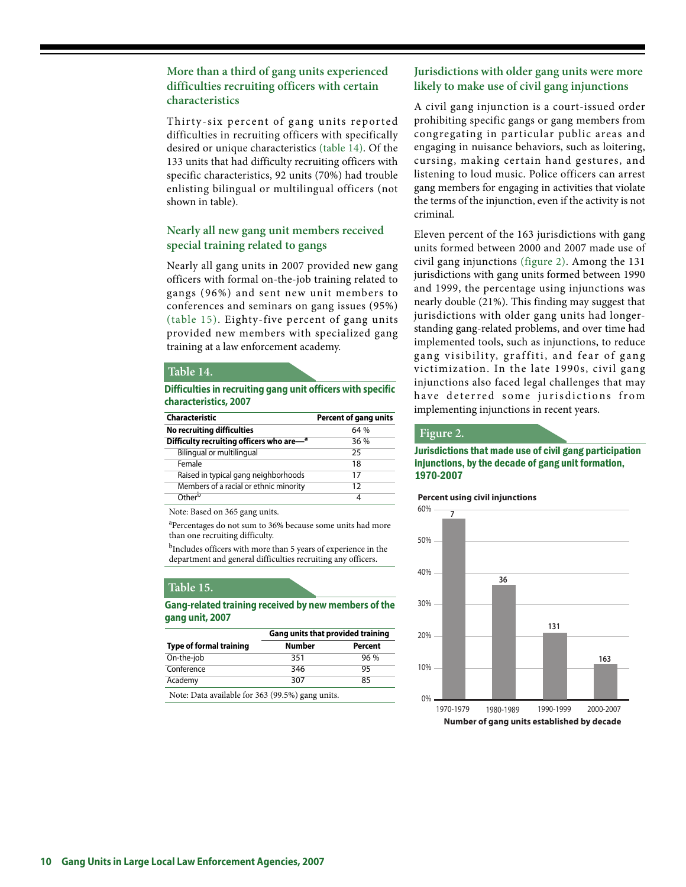## **More than a third of gang units experienced difficulties recruiting officers with certain characteristics**

Thirty-six percent of gang units reported difficulties in recruiting officers with specifically desired or unique characteristics (table 14). Of the 133 units that had difficulty recruiting officers with specific characteristics, 92 units (70%) had trouble enlisting bilingual or multilingual officers (not shown in table).

## **Nearly all new gang unit members received special training related to gangs**

Nearly all gang units in 2007 provided new gang officers with formal on-the-job training related to gangs (96%) and sent new unit members to conferences and seminars on gang issues (95%) (table 15). Eighty-five percent of gang units provided new members with specialized gang training at a law enforcement academy.

#### **Table 14.**

#### **Difficulties in recruiting gang unit officers with specific characteristics, 2007**

| <b>Characteristic</b>                    | <b>Percent of gang units</b> |
|------------------------------------------|------------------------------|
| No recruiting difficulties               | 64 %                         |
| Difficulty recruiting officers who are-a | 36 %                         |
| Bilingual or multilingual                | 25                           |
| Female                                   | 18                           |
| Raised in typical gang neighborhoods     | 17                           |
| Members of a racial or ethnic minority   | 12                           |
| Other <sup>b</sup>                       |                              |

Note: Based on 365 gang units.

<sup>a</sup>Percentages do not sum to 36% because some units had more than one recruiting difficulty.

<sup>b</sup>Includes officers with more than 5 years of experience in the department and general difficulties recruiting any officers.

## **Table 15.**

**Gang-related training received by new members of the gang unit, 2007**

|                                                  | Gang units that provided training |         |
|--------------------------------------------------|-----------------------------------|---------|
| <b>Type of formal training</b>                   | <b>Number</b>                     | Percent |
| On-the-job                                       | 351                               | 96%     |
| Conference                                       | 346                               | 95      |
| Academy                                          | 307                               | 85      |
| Note: Data available for 363 (99.5%) gang units. |                                   |         |

## **Jurisdictions with older gang units were more likely to make use of civil gang injunctions**

A civil gang injunction is a court-issued order prohibiting specific gangs or gang members from congregating in particular public areas and engaging in nuisance behaviors, such as loitering, cursing, making certain hand gestures, and listening to loud music. Police officers can arrest gang members for engaging in activities that violate the terms of the injunction, even if the activity is not criminal.

Eleven percent of the 163 jurisdictions with gang units formed between 2000 and 2007 made use of civil gang injunctions (figure 2). Among the 131 jurisdictions with gang units formed between 1990 and 1999, the percentage using injunctions was nearly double (21%). This finding may suggest that jurisdictions with older gang units had longerstanding gang-related problems, and over time had implemented tools, such as injunctions, to reduce gang visibility, graffiti, and fear of gang victimization. In the late 1990s, civil gang injunctions also faced legal challenges that may have deterred some jurisdictions from implementing injunctions in recent years.

#### **Figure 2.**

Jurisdictions that made use of civil gang participation injunctions, by the decade of gang unit formation, 1970-2007

#### **Percent using civil injunctions**

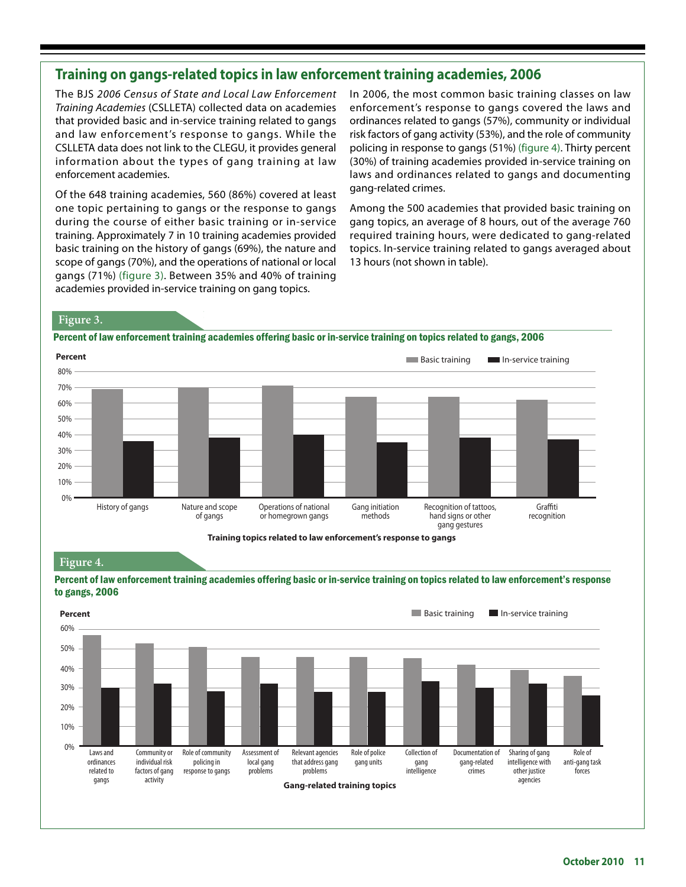## **Training on gangs-related topics in law enforcement training academies, 2006**

The BJS 2006 Census of State and Local Law Enforcement Training Academies (CSLLETA) collected data on academies that provided basic and in-service training related to gangs and law enforcement's response to gangs. While the CSLLETA data does not link to the CLEGU, it provides general information about the types of gang training at law enforcement academies.

Of the 648 training academies, 560 (86%) covered at least one topic pertaining to gangs or the response to gangs during the course of either basic training or in-service training. Approximately 7 in 10 training academies provided basic training on the history of gangs (69%), the nature and scope of gangs (70%), and the operations of national or local gangs (71%) (figure 3). Between 35% and 40% of training academies provided in-service training on gang topics.

In 2006, the most common basic training classes on law enforcement's response to gangs covered the laws and ordinances related to gangs (57%), community or individual risk factors of gang activity (53%), and the role of community policing in response to gangs (51%) (figure 4). Thirty percent (30%) of training academies provided in-service training on laws and ordinances related to gangs and documenting gang-related crimes.

Among the 500 academies that provided basic training on gang topics, an average of 8 hours, out of the average 760 required training hours, were dedicated to gang-related topics. In-service training related to gangs averaged about 13 hours (not shown in table).

## **Figure 3.**

Percent of law enforcement training academies offering basic or in-service training on topics related to gangs, 2006



Training topics related to law enforcement's response to gangs

## **Figure 4.**



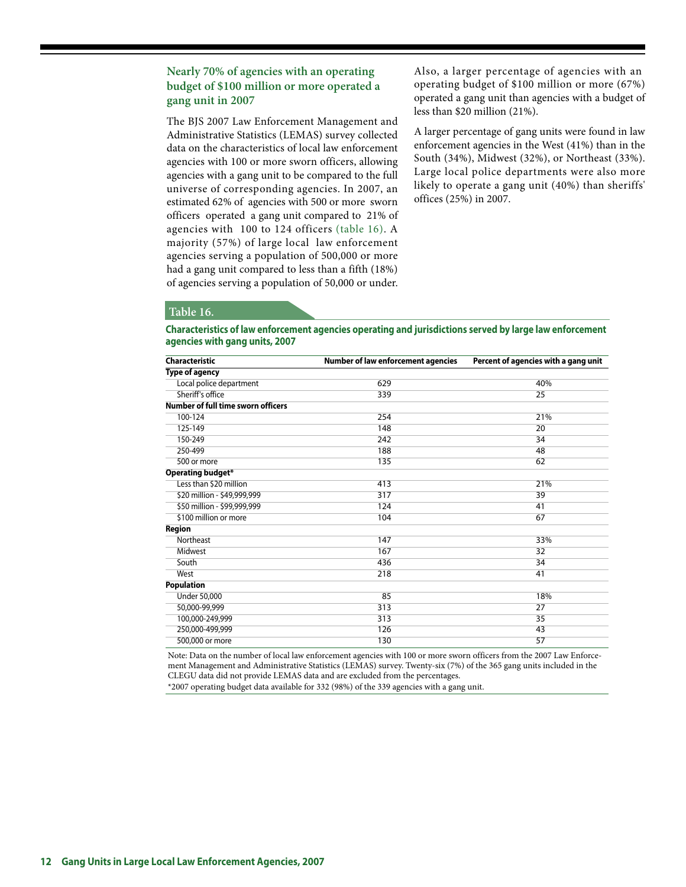## **Nearly 70% of agencies with an operating budget of \$100 million or more operated a gang unit in 2007**

The BJS 2007 Law Enforcement Management and Administrative Statistics (LEMAS) survey collected data on the characteristics of local law enforcement agencies with 100 or more sworn officers, allowing agencies with a gang unit to be compared to the full universe of corresponding agencies. In 2007, an estimated 62% of agencies with 500 or more sworn officers operated a gang unit compared to 21% of agencies with 100 to 124 officers (table 16). A majority (57%) of large local law enforcement agencies serving a population of 500,000 or more had a gang unit compared to less than a fifth (18%) of agencies serving a population of 50,000 or under.

Also, a larger percentage of agencies with an operating budget of \$100 million or more (67%) operated a gang unit than agencies with a budget of less than \$20 million (21%).

A larger percentage of gang units were found in law enforcement agencies in the West (41%) than in the South (34%), Midwest (32%), or Northeast (33%). Large local police departments were also more likely to operate a gang unit (40%) than sheriffs' offices (25%) in 2007.

## **Table 16.**

**Characteristics of law enforcement agencies operating and jurisdictions served by large law enforcement agencies with gang units, 2007**

| Characteristic                            | <b>Number of law enforcement agencies</b> | Percent of agencies with a gang unit |
|-------------------------------------------|-------------------------------------------|--------------------------------------|
| <b>Type of agency</b>                     |                                           |                                      |
| Local police department                   | 629                                       | 40%                                  |
| Sheriff's office                          | 339                                       | 25                                   |
| <b>Number of full time sworn officers</b> |                                           |                                      |
| 100-124                                   | 254                                       | 21%                                  |
| 125-149                                   | 148                                       | 20                                   |
| 150-249                                   | 242                                       | 34                                   |
| 250-499                                   | 188                                       | 48                                   |
| 500 or more                               | 135                                       | 62                                   |
| <b>Operating budget*</b>                  |                                           |                                      |
| Less than \$20 million                    | 413                                       | 21%                                  |
| \$20 million - \$49,999,999               | 317                                       | 39                                   |
| \$50 million - \$99,999,999               | 124                                       | 41                                   |
| \$100 million or more                     | 104                                       | 67                                   |
| Region                                    |                                           |                                      |
| Northeast                                 | 147                                       | 33%                                  |
| Midwest                                   | 167                                       | $\overline{32}$                      |
| South                                     | 436                                       | 34                                   |
| West                                      | 218                                       | 41                                   |
| <b>Population</b>                         |                                           |                                      |
| <b>Under 50,000</b>                       | 85                                        | 18%                                  |
| 50,000-99,999                             | 313                                       | 27                                   |
| 100,000-249,999                           | 313                                       | 35                                   |
| 250,000-499,999                           | 126                                       | 43                                   |
| 500,000 or more                           | 130                                       | 57                                   |

Note: Data on the number of local law enforcement agencies with 100 or more sworn officers from the 2007 Law Enforcement Management and Administrative Statistics (LEMAS) survey. Twenty-six (7%) of the 365 gang units included in the CLEGU data did not provide LEMAS data and are excluded from the percentages.

\*2007 operating budget data available for 332 (98%) of the 339 agencies with a gang unit.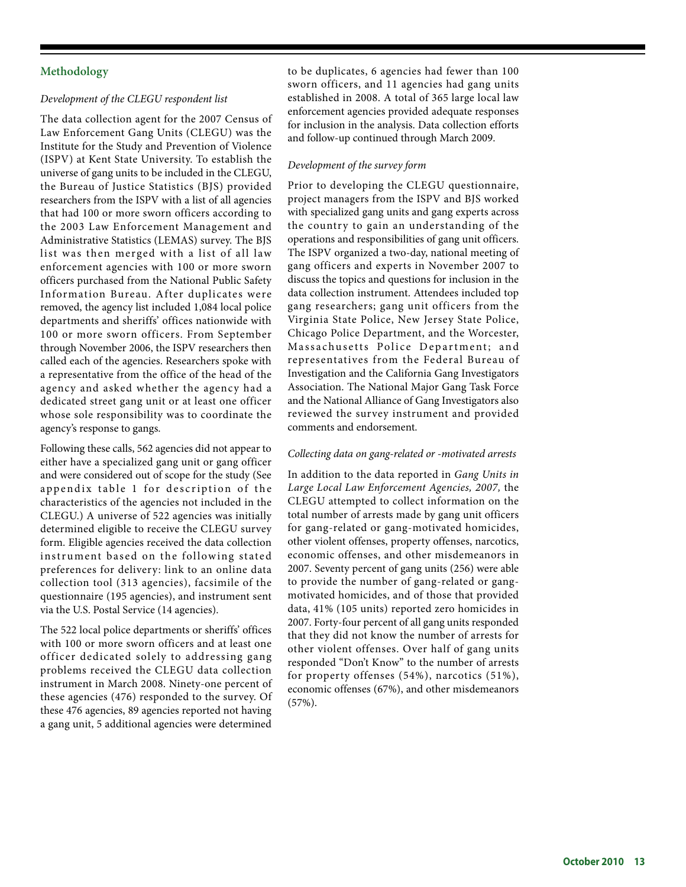## **Methodology**

#### *Development of the CLEGU respondent list*

The data collection agent for the 2007 Census of Law Enforcement Gang Units (CLEGU) was the Institute for the Study and Prevention of Violence (ISPV) at Kent State University. To establish the universe of gang units to be included in the CLEGU, the Bureau of Justice Statistics (BJS) provided researchers from the ISPV with a list of all agencies that had 100 or more sworn officers according to the 2003 Law Enforcement Management and Administrative Statistics (LEMAS) survey. The BJS list was then merged with a list of all law enforcement agencies with 100 or more sworn officers purchased from the National Public Safety Information Bureau. After duplicates were removed, the agency list included 1,084 local police departments and sheriffs' offices nationwide with 100 or more sworn officers. From September through November 2006, the ISPV researchers then called each of the agencies. Researchers spoke with a representative from the office of the head of the agency and asked whether the agency had a dedicated street gang unit or at least one officer whose sole responsibility was to coordinate the agency's response to gangs.

Following these calls, 562 agencies did not appear to either have a specialized gang unit or gang officer and were considered out of scope for the study (See appendix table 1 for description of the characteristics of the agencies not included in the CLEGU.) A universe of 522 agencies was initially determined eligible to receive the CLEGU survey form. Eligible agencies received the data collection instrument based on the following stated preferences for delivery: link to an online data collection tool (313 agencies), facsimile of the questionnaire (195 agencies), and instrument sent via the U.S. Postal Service (14 agencies).

The 522 local police departments or sheriffs' offices with 100 or more sworn officers and at least one officer dedicated solely to addressing gang problems received the CLEGU data collection instrument in March 2008. Ninety-one percent of these agencies (476) responded to the survey. Of these 476 agencies, 89 agencies reported not having a gang unit, 5 additional agencies were determined

to be duplicates, 6 agencies had fewer than 100 sworn officers, and 11 agencies had gang units established in 2008. A total of 365 large local law enforcement agencies provided adequate responses for inclusion in the analysis. Data collection efforts and follow-up continued through March 2009.

#### *Development of the survey form*

Prior to developing the CLEGU questionnaire, project managers from the ISPV and BJS worked with specialized gang units and gang experts across the country to gain an understanding of the operations and responsibilities of gang unit officers. The ISPV organized a two-day, national meeting of gang officers and experts in November 2007 to discuss the topics and questions for inclusion in the data collection instrument. Attendees included top gang researchers; gang unit officers from the Virginia State Police, New Jersey State Police, Chicago Police Department, and the Worcester, Massachusetts Police Department; and representatives from the Federal Bureau of Investigation and the California Gang Investigators Association. The National Major Gang Task Force and the National Alliance of Gang Investigators also reviewed the survey instrument and provided comments and endorsement.

#### *Collecting data on gang-related or -motivated arrests*

In addition to the data reported in *Gang Units in Large Local Law Enforcement Agencies, 2007,* the CLEGU attempted to collect information on the total number of arrests made by gang unit officers for gang-related or gang-motivated homicides, other violent offenses, property offenses, narcotics, economic offenses, and other misdemeanors in 2007. Seventy percent of gang units (256) were able to provide the number of gang-related or gangmotivated homicides, and of those that provided data, 41% (105 units) reported zero homicides in 2007. Forty-four percent of all gang units responded that they did not know the number of arrests for other violent offenses. Over half of gang units responded "Don't Know" to the number of arrests for property offenses (54%), narcotics (51%), economic offenses (67%), and other misdemeanors (57%).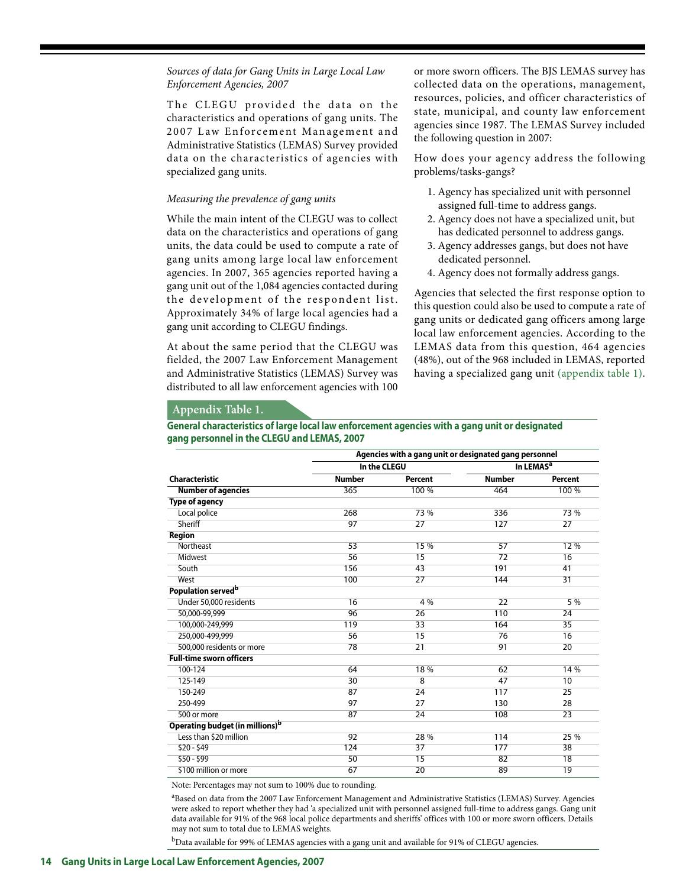#### *Sources of data for Gang Units in Large Local Law Enforcement Agencies, 2007*

The CLEGU provided the data on the characteristics and operations of gang units. The 2007 Law Enforcement Management and Administrative Statistics (LEMAS) Survey provided data on the characteristics of agencies with specialized gang units.

#### *Measuring the prevalence of gang units*

While the main intent of the CLEGU was to collect data on the characteristics and operations of gang units, the data could be used to compute a rate of gang units among large local law enforcement agencies. In 2007, 365 agencies reported having a gang unit out of the 1,084 agencies contacted during the development of the respondent list. Approximately 34% of large local agencies had a gang unit according to CLEGU findings.

At about the same period that the CLEGU was fielded, the 2007 Law Enforcement Management and Administrative Statistics (LEMAS) Survey was distributed to all law enforcement agencies with 100

or more sworn officers. The BJS LEMAS survey has collected data on the operations, management, resources, policies, and officer characteristics of state, municipal, and county law enforcement agencies since 1987. The LEMAS Survey included the following question in 2007:

How does your agency address the following problems/tasks-gangs?

- 1. Agency has specialized unit with personnel assigned full-time to address gangs.
- 2. Agency does not have a specialized unit, but has dedicated personnel to address gangs.
- 3. Agency addresses gangs, but does not have dedicated personnel.
- 4. Agency does not formally address gangs.

Agencies that selected the first response option to this question could also be used to compute a rate of gang units or dedicated gang officers among large local law enforcement agencies. According to the LEMAS data from this question, 464 agencies (48%), out of the 968 included in LEMAS, reported having a specialized gang unit (appendix table 1).

## **Appendix Table 1.**

#### **General characteristics of large local law enforcement agencies with a gang unit or designated gang personnel in the CLEGU and LEMAS, 2007**

|                                             | Agencies with a gang unit or designated gang personnel |                 |               |                       |
|---------------------------------------------|--------------------------------------------------------|-----------------|---------------|-----------------------|
|                                             | In the CLEGU                                           |                 |               | In LEMAS <sup>a</sup> |
| Characteristic                              | <b>Number</b>                                          | <b>Percent</b>  | <b>Number</b> | Percent               |
| <b>Number of agencies</b>                   | 365                                                    | 100 %           | 464           | 100 %                 |
| <b>Type of agency</b>                       |                                                        |                 |               |                       |
| Local police                                | 268                                                    | 73 %            | 336           | 73 %                  |
| Sheriff                                     | 97                                                     | 27              | 127           | 27                    |
| <b>Region</b>                               |                                                        |                 |               |                       |
| Northeast                                   | 53                                                     | 15 %            | 57            | 12 %                  |
| Midwest                                     | 56                                                     | 15              | 72            | 16                    |
| South                                       | 156                                                    | 43              | 191           | 41                    |
| West                                        | 100                                                    | 27              | 144           | $\overline{31}$       |
| Population served <sup>b</sup>              |                                                        |                 |               |                       |
| Under 50,000 residents                      | 16                                                     | 4 %             | 22            | 5 %                   |
| 50.000-99.999                               | 96                                                     | 26              | 110           | 24                    |
| 100,000-249,999                             | 119                                                    | 33              | 164           | 35                    |
| 250.000-499.999                             | 56                                                     | 15              | 76            | 16                    |
| 500,000 residents or more                   | 78                                                     | $\overline{21}$ | 91            | 20                    |
| <b>Full-time sworn officers</b>             |                                                        |                 |               |                       |
| 100-124                                     | 64                                                     | 18%             | 62            | 14 %                  |
| 125-149                                     | 30                                                     | $\overline{8}$  | 47            | 10                    |
| 150-249                                     | 87                                                     | 24              | 117           | 25                    |
| 250-499                                     | 97                                                     | 27              | 130           | 28                    |
| 500 or more                                 | 87                                                     | 24              | 108           | $\overline{23}$       |
| Operating budget (in millions) <sup>b</sup> |                                                        |                 |               |                       |
| Less than \$20 million                      | 92                                                     | 28 %            | 114           | 25 %                  |
| $$20 - $49$                                 | 124                                                    | 37              | 177           | 38                    |
| $$50 - $99$                                 | 50                                                     | 15              | 82            | 18                    |
| \$100 million or more                       | 67                                                     | 20              | 89            | 19                    |

Note: Percentages may not sum to 100% due to rounding.

a Based on data from the 2007 Law Enforcement Management and Administrative Statistics (LEMAS) Survey. Agencies were asked to report whether they had 'a specialized unit with personnel assigned full-time to address gangs. Gang unit data available for 91% of the 968 local police departments and sheriffs' offices with 100 or more sworn officers. Details may not sum to total due to LEMAS weights.

 $^{\rm b}$ Data available for 99% of LEMAS agencies with a gang unit and available for 91% of CLEGU agencies.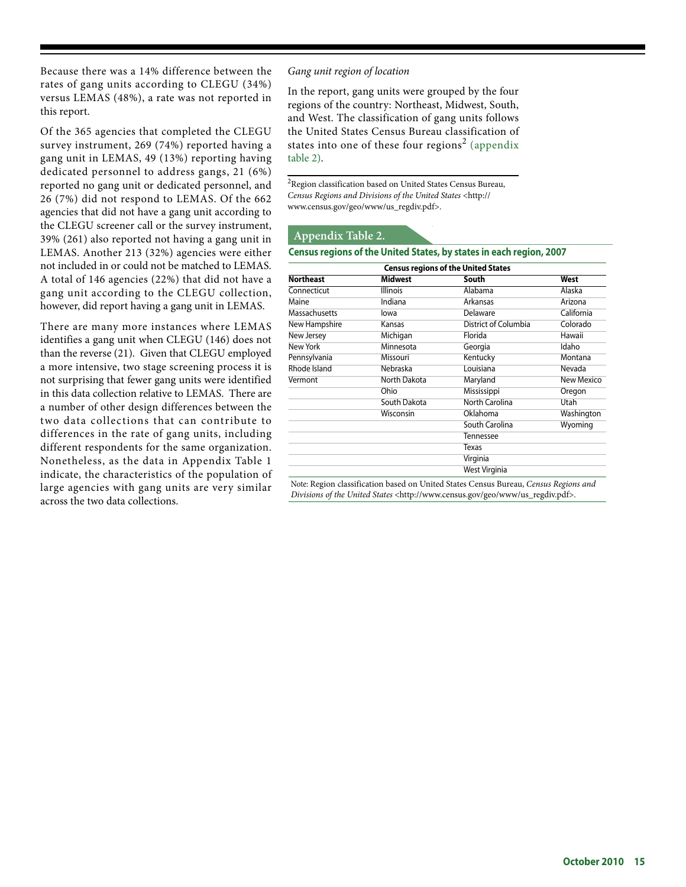Because there was a 14% difference between the rates of gang units according to CLEGU (34%) versus LEMAS (48%), a rate was not reported in this report.

Of the 365 agencies that completed the CLEGU survey instrument, 269 (74%) reported having a gang unit in LEMAS, 49 (13%) reporting having dedicated personnel to address gangs, 21 (6%) reported no gang unit or dedicated personnel, and 26 (7%) did not respond to LEMAS. Of the 662 agencies that did not have a gang unit according to the CLEGU screener call or the survey instrument, 39% (261) also reported not having a gang unit in LEMAS. Another 213 (32%) agencies were either not included in or could not be matched to LEMAS. A total of 146 agencies (22%) that did not have a gang unit according to the CLEGU collection, however, did report having a gang unit in LEMAS.

There are many more instances where LEMAS identifies a gang unit when CLEGU (146) does not than the reverse (21). Given that CLEGU employed a more intensive, two stage screening process it is not surprising that fewer gang units were identified in this data collection relative to LEMAS. There are a number of other design differences between the two data collections that can contribute to differences in the rate of gang units, including different respondents for the same organization. Nonetheless, as the data in Appendix Table 1 indicate, the characteristics of the population of large agencies with gang units are very similar across the two data collections.

#### *Gang unit region of location*

In the report, gang units were grouped by the four regions of the country: Northeast, Midwest, South, and West. The classification of gang units follows the United States Census Bureau classification of states into one of these four regions<sup>2</sup> (appendix table 2).

 ${}^{2}$ Region classification based on United States Census Bureau, *Census Regions and Divisions of the United States* <http:// www.census.gov/geo/www/us\_regdiv.pdf>.

#### **Appendix Table 2.**

#### **Census regions of the United States, by states in each region, 2007**

|                      | <b>Census regions of the United States</b> |                      |                   |  |
|----------------------|--------------------------------------------|----------------------|-------------------|--|
| <b>Northeast</b>     | <b>Midwest</b>                             | South                | West              |  |
| Connecticut          | <b>Illinois</b>                            | Alabama              | Alaska            |  |
| Maine                | Indiana                                    | Arkansas             | Arizona           |  |
| <b>Massachusetts</b> | lowa                                       | Delaware             | California        |  |
| New Hampshire        | Kansas                                     | District of Columbia | Colorado          |  |
| New Jersey           | Michigan                                   | Florida              | Hawaii            |  |
| New York             | Minnesota                                  | Georgia              | Idaho             |  |
| Pennsylvania         | Missouri                                   | Kentucky             | Montana           |  |
| Rhode Island         | Nebraska                                   | Louisiana            | Nevada            |  |
| Vermont              | North Dakota                               | Maryland             | <b>New Mexico</b> |  |
|                      | Ohio                                       | Mississippi          | Oregon            |  |
|                      | South Dakota                               | North Carolina       | Utah              |  |
|                      | Wisconsin                                  | Oklahoma             | Washington        |  |
|                      |                                            | South Carolina       | Wyoming           |  |
|                      |                                            | <b>Tennessee</b>     |                   |  |
|                      |                                            | Texas                |                   |  |
|                      |                                            | Virginia             |                   |  |
|                      |                                            | West Virginia        |                   |  |

Note: Region classification based on United States Census Bureau, *Census Regions and Divisions of the United States* <http://www.census.gov/geo/www/us\_regdiv.pdf>.